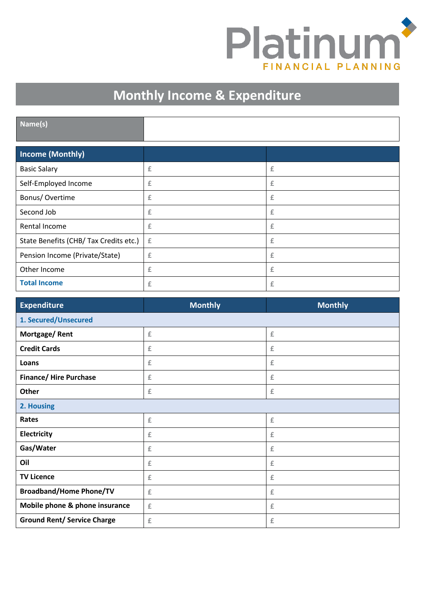

٦

## **Monthly Income & Expenditure**

| Name(s)                                |   |   |
|----------------------------------------|---|---|
| <b>Income (Monthly)</b>                |   |   |
| <b>Basic Salary</b>                    | £ | £ |
| Self-Employed Income                   | £ | £ |
| Bonus/Overtime                         | £ | £ |
| Second Job                             | £ | £ |
| Rental Income                          | £ | £ |
| State Benefits (CHB/ Tax Credits etc.) | £ | £ |
| Pension Income (Private/State)         | £ | £ |
| Other Income                           | £ | £ |
| <b>Total Income</b>                    | £ | £ |

| <b>Expenditure</b>                 | <b>Monthly</b> | <b>Monthly</b> |  |
|------------------------------------|----------------|----------------|--|
| 1. Secured/Unsecured               |                |                |  |
| Mortgage/Rent                      | £              | $\pounds$      |  |
| <b>Credit Cards</b>                | £              | $\pounds$      |  |
| Loans                              | £              | £              |  |
| <b>Finance/ Hire Purchase</b>      | £              | $\pounds$      |  |
| Other                              | £              | £              |  |
| 2. Housing                         |                |                |  |
| Rates                              | £              | $\pounds$      |  |
| Electricity                        | £              | $\pounds$      |  |
| Gas/Water                          | £              | $\pounds$      |  |
| Oil                                | £              | $\pounds$      |  |
| <b>TV Licence</b>                  | £              | £              |  |
| <b>Broadband/Home Phone/TV</b>     | £              | £              |  |
| Mobile phone & phone insurance     | £              | $\pounds$      |  |
| <b>Ground Rent/ Service Charge</b> | £              | $\pounds$      |  |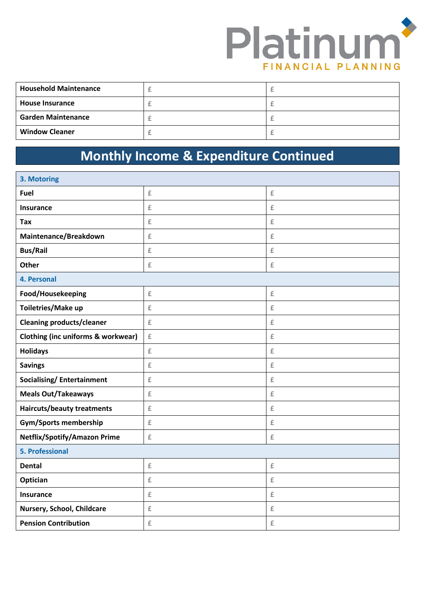

| <b>Household Maintenance</b> |  |
|------------------------------|--|
| <b>House Insurance</b>       |  |
| <b>Garden Maintenance</b>    |  |
| <b>Window Cleaner</b>        |  |

## **Monthly Income & Expenditure Continued**

| 3. Motoring                                   |                          |                    |
|-----------------------------------------------|--------------------------|--------------------|
| Fuel                                          | $\underline{\mathbb{E}}$ | $\pounds$          |
| <b>Insurance</b>                              | £                        | £                  |
| Tax                                           | £                        | £                  |
| Maintenance/Breakdown                         | $\underline{\mathbb{E}}$ | £                  |
| <b>Bus/Rail</b>                               | £                        | $\hat{\mathbb{E}}$ |
| <b>Other</b>                                  | $\underline{\mathbb{E}}$ | £                  |
| 4. Personal                                   |                          |                    |
| Food/Housekeeping                             | $\underline{\mathbb{f}}$ | $\pounds$          |
| Toiletries/Make up                            | £                        | £                  |
| <b>Cleaning products/cleaner</b>              | $\pounds$                | £                  |
| <b>Clothing (inc uniforms &amp; workwear)</b> | $\pounds$                | $\hat{\mathbb{E}}$ |
| <b>Holidays</b>                               | $\underline{\mathbb{E}}$ | $\pounds$          |
| <b>Savings</b>                                | £                        | $\pounds$          |
| <b>Socialising/Entertainment</b>              | $\underline{\mathbb{E}}$ | $\pounds$          |
| <b>Meals Out/Takeaways</b>                    | $\underline{\mathbb{E}}$ | £                  |
| <b>Haircuts/beauty treatments</b>             | $\underline{\mathbb{E}}$ | £                  |
| <b>Gym/Sports membership</b>                  | $\underline{\mathbb{E}}$ | £                  |
| <b>Netflix/Spotify/Amazon Prime</b>           | $\underline{\mathbb{E}}$ | £                  |
| <b>5. Professional</b>                        |                          |                    |
| <b>Dental</b>                                 | £                        | $\pounds$          |
| Optician                                      | $\underline{\mathbb{E}}$ | $\hat{E}$          |
| <b>Insurance</b>                              | $\underline{\mathbb{E}}$ | £                  |
| Nursery, School, Childcare                    | $\underline{\mathbb{E}}$ | £                  |
| <b>Pension Contribution</b>                   | £                        | £                  |